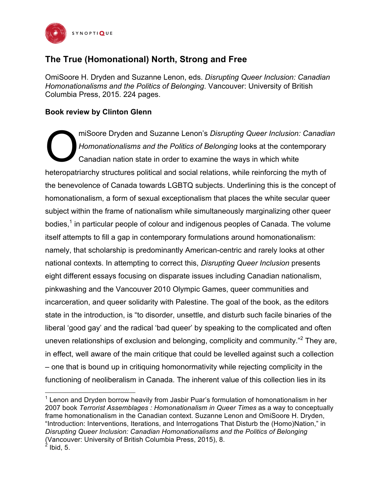

## **The True (Homonational) North, Strong and Free**

OmiSoore H. Dryden and Suzanne Lenon, eds. *Disrupting Queer Inclusion: Canadian Homonationalisms and the Politics of Belonging*. Vancouver: University of British Columbia Press, 2015. 224 pages.

## **Book review by Clinton Glenn**

 

miSoore Dryden and Suzanne Lenon's *Disrupting Queer Inclusion: Canadian Homonationalisms and the Politics of Belonging* looks at the contemporary Canadian nation state in order to examine the ways in which white heteropatriarchy structures political and social relations, while reinforcing the myth of the benevolence of Canada towards LGBTQ subjects. Underlining this is the concept of homonationalism, a form of sexual exceptionalism that places the white secular queer subject within the frame of nationalism while simultaneously marginalizing other queer bodies, $<sup>1</sup>$  in particular people of colour and indigenous peoples of Canada. The volume</sup> itself attempts to fill a gap in contemporary formulations around homonationalism: namely, that scholarship is predominantly American-centric and rarely looks at other national contexts. In attempting to correct this, *Disrupting Queer Inclusion* presents eight different essays focusing on disparate issues including Canadian nationalism, pinkwashing and the Vancouver 2010 Olympic Games, queer communities and incarceration, and queer solidarity with Palestine. The goal of the book, as the editors state in the introduction, is "to disorder, unsettle, and disturb such facile binaries of the liberal 'good gay' and the radical 'bad queer' by speaking to the complicated and often uneven relationships of exclusion and belonging, complicity and community."<sup>2</sup> They are, in effect, well aware of the main critique that could be levelled against such a collection – one that is bound up in critiquing homonormativity while rejecting complicity in the functioning of neoliberalism in Canada. The inherent value of this collection lies in its O

 $1$  Lenon and Dryden borrow heavily from Jasbir Puar's formulation of homonationalism in her 2007 book *Terrorist Assemblages : Homonationalism in Queer Times* as a way to conceptually frame homonationalism in the Canadian context. Suzanne Lenon and OmiSoore H. Dryden, "Introduction: Interventions, Iterations, and Interrogations That Disturb the (Homo)Nation," in *Disrupting Queer Inclusion: Canadian Homonationalisms and the Politics of Belonging* (Vancouver: University of British Columbia Press, 2015), 8.  $^2$  Ibid, 5.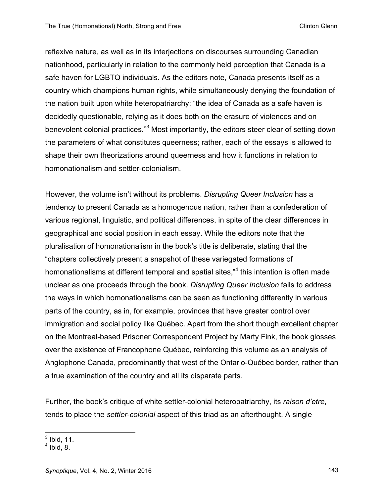reflexive nature, as well as in its interjections on discourses surrounding Canadian nationhood, particularly in relation to the commonly held perception that Canada is a safe haven for LGBTQ individuals. As the editors note, Canada presents itself as a country which champions human rights, while simultaneously denying the foundation of the nation built upon white heteropatriarchy: "the idea of Canada as a safe haven is decidedly questionable, relying as it does both on the erasure of violences and on benevolent colonial practices."<sup>3</sup> Most importantly, the editors steer clear of setting down the parameters of what constitutes queerness; rather, each of the essays is allowed to shape their own theorizations around queerness and how it functions in relation to homonationalism and settler-colonialism.

However, the volume isn't without its problems. *Disrupting Queer Inclusion* has a tendency to present Canada as a homogenous nation, rather than a confederation of various regional, linguistic, and political differences, in spite of the clear differences in geographical and social position in each essay. While the editors note that the pluralisation of homonationalism in the book's title is deliberate, stating that the "chapters collectively present a snapshot of these variegated formations of homonationalisms at different temporal and spatial sites,<sup>"4</sup> this intention is often made unclear as one proceeds through the book. *Disrupting Queer Inclusion* fails to address the ways in which homonationalisms can be seen as functioning differently in various parts of the country, as in, for example, provinces that have greater control over immigration and social policy like Québec. Apart from the short though excellent chapter on the Montreal-based Prisoner Correspondent Project by Marty Fink, the book glosses over the existence of Francophone Québec, reinforcing this volume as an analysis of Anglophone Canada, predominantly that west of the Ontario-Québec border, rather than a true examination of the country and all its disparate parts.

Further, the book's critique of white settler-colonial heteropatriarchy, its *raison d'etre*, tends to place the *settler-colonial* aspect of this triad as an afterthought. A single

  $3$  Ibid, 11.

 $<sup>4</sup>$  Ibid, 8.</sup>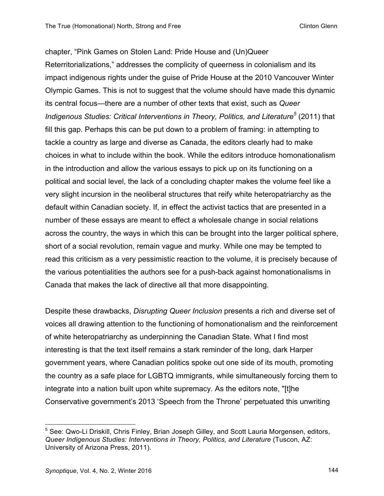chapter, "Pink Games on Stolen Land: Pride House and (Un)Queer Reterritorializations," addresses the complicity of queerness in colonialism and its impact indigenous rights under the guise of Pride House at the 2010 Vancouver Winter Olympic Games. This is not to suggest that the volume should have made this dynamic its central focus—there are a number of other texts that exist, such as *Queer Indigenous Studies: Critical Interventions in Theory, Politics, and Literature<sup>5</sup>* (2011) that fill this gap. Perhaps this can be put down to a problem of framing: in attempting to tackle a country as large and diverse as Canada, the editors clearly had to make choices in what to include within the book. While the editors introduce homonationalism in the introduction and allow the various essays to pick up on its functioning on a political and social level, the lack of a concluding chapter makes the volume feel like a very slight incursion in the neoliberal structures that reify white heteropatriarchy as the default within Canadian society. If, in effect the activist tactics that are presented in a number of these essays are meant to effect a wholesale change in social relations across the country, the ways in which this can be brought into the larger political sphere, short of a social revolution, remain vague and murky. While one may be tempted to read this criticism as a very pessimistic reaction to the volume, it is precisely because of the various potentialities the authors see for a push-back against homonationalisms in Canada that makes the lack of directive all that more disappointing.

Despite these drawbacks, *Disrupting Queer Inclusion* presents a rich and diverse set of voices all drawing attention to the functioning of homonationalism and the reinforcement of white heteropatriarchy as underpinning the Canadian State. What I find most interesting is that the text itself remains a stark reminder of the long, dark Harper government years, where Canadian politics spoke out one side of its mouth, promoting the country as a safe place for LGBTQ immigrants, while simultaneously forcing them to integrate into a nation built upon white supremacy. As the editors note, "[t]he Conservative government's 2013 'Speech from the Throne' perpetuated this unwriting

 

<sup>&</sup>lt;sup>5</sup> See: Qwo-Li Driskill, Chris Finley, Brian Joseph Gilley, and Scott Lauria Morgensen, editors, *Queer Indigenous Studies: Interventions in Theory, Politics, and Literature* (Tuscon, AZ: University of Arizona Press, 2011).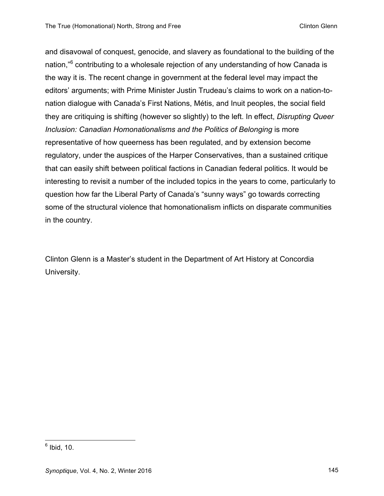and disavowal of conquest, genocide, and slavery as foundational to the building of the nation."<sup>6</sup> contributing to a wholesale rejection of any understanding of how Canada is the way it is. The recent change in government at the federal level may impact the editors' arguments; with Prime Minister Justin Trudeau's claims to work on a nation-tonation dialogue with Canada's First Nations, Métis, and Inuit peoples, the social field they are critiquing is shifting (however so slightly) to the left. In effect, *Disrupting Queer Inclusion: Canadian Homonationalisms and the Politics of Belonging* is more representative of how queerness has been regulated, and by extension become regulatory, under the auspices of the Harper Conservatives, than a sustained critique that can easily shift between political factions in Canadian federal politics. It would be interesting to revisit a number of the included topics in the years to come, particularly to question how far the Liberal Party of Canada's "sunny ways" go towards correcting some of the structural violence that homonationalism inflicts on disparate communities in the country.

Clinton Glenn is a Master's student in the Department of Art History at Concordia University.

 $6$  Ibid, 10.